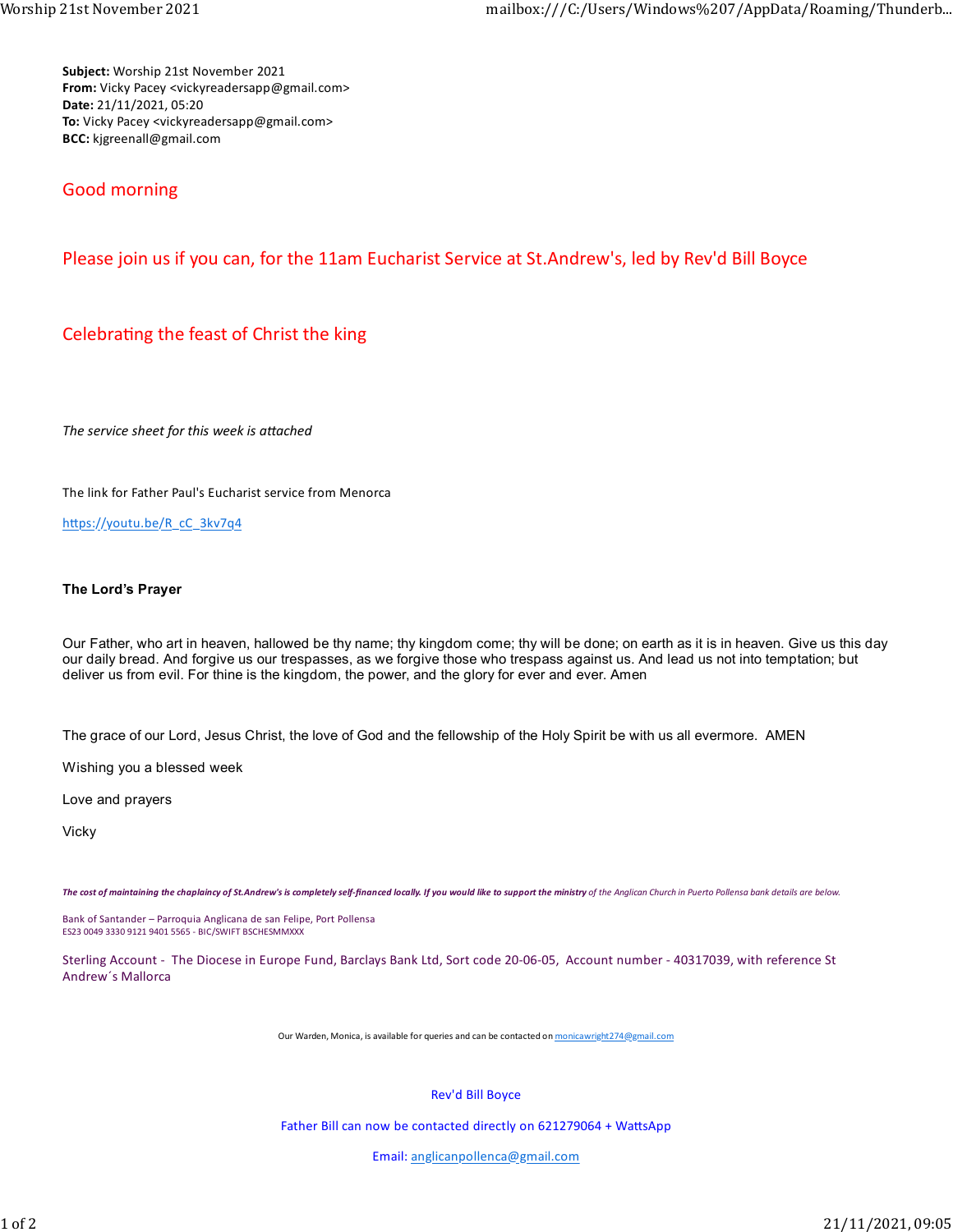Subject: Worship 21st November 2021 From: Vicky Pacey <vickyreadersapp@gmail.com> Date: 21/11/2021, 05:20 To: Vicky Pacey <vickyreadersapp@gmail.com> BCC: kjgreenall@gmail.com

## Good morning

## Please join us if you can, for the 11am Eucharist Service at St.Andrew's, led by Rev'd Bill Boyce

## Celebrating the feast of Christ the king

The service sheet for this week is attached

The link for Father Paul's Eucharist service from Menorca

https://youtu.be/R\_cC\_3kv7q4

## The Lord's Prayer

Our Father, who art in heaven, hallowed be thy name; thy kingdom come; thy will be done; on earth as it is in heaven. Give us this day our daily bread. And forgive us our trespasses, as we forgive those who trespass against us. And lead us not into temptation; but deliver us from evil. For thine is the kingdom, the power, and the glory for ever and ever. Amen

The grace of our Lord, Jesus Christ, the love of God and the fellowship of the Holy Spirit be with us all evermore. AMEN

Wishing you a blessed week

Love and prayers

Vicky

The cost of maintaining the chaplaincy of St.Andrew's is completely self-financed locally. If you would like to support the ministry of the Anglican Church in Puerto Pollensa bank details are below.

Bank of Santander – Parroquia Anglicana de san Felipe, Port Pollensa ES23 0049 3330 9121 9401 5565 - BIC/SWIFT BSCHESMMXXX

Sterling Account - The Diocese in Europe Fund, Barclays Bank Ltd, Sort code 20-06-05, Account number - 40317039, with reference St Andrew´s Mallorca

Our Warden, Monica, is available for queries and can be contacted on monicawright274@gmail.com

Rev'd Bill Boyce

Father Bill can now be contacted directly on 621279064 + WattsApp

Email: anglicanpollenca@gmail.com